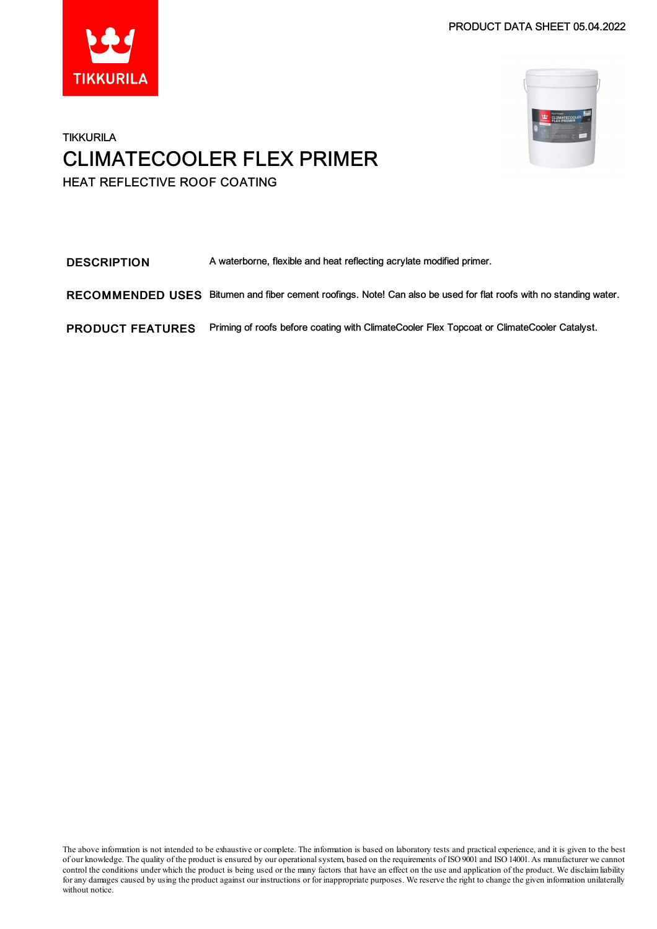PRODUCT DATA SHEET 05.04.2022





### **TIKKURILA** CLIMATECOOLER FLEX PRIMER HEAT REFLECTIVE ROOF COATING

DESCRIPTION A waterborne, flexible and heat reflecting acrylate modified primer.

RECOMMENDED USES Bitumen and fiber cement roofings. Note! Can also be used for flat roofs with no standing water.

PRODUCT FEATURES Priming of roofs before coating with ClimateCooler Flex Topcoat or ClimateCooler Catalyst.

The above information is not intended to be exhaustive or complete. The information is based on laboratory tests and practical experience, and it is given to the best of our knowledge. The quality of the product is ensured by our operational system, based on the requirements of ISO 9001 and ISO 14001. As manufacturer we cannot control the conditions under which the product is being used or the many factors that have an effect on the use and application of the product. We disclaimliability for any damages caused by using the product against our instructions or for inappropriate purposes. We reserve the right to change the given information unilaterally without notice.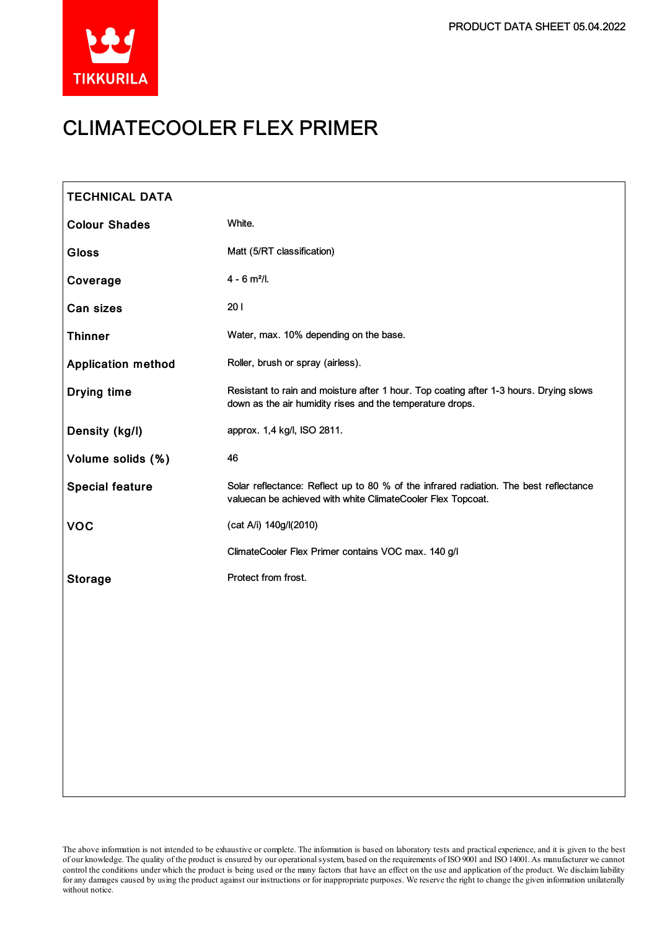

# CLIMATECOOLER FLEX PRIMER

| <b>TECHNICAL DATA</b>     |                                                                                                                                                      |
|---------------------------|------------------------------------------------------------------------------------------------------------------------------------------------------|
| <b>Colour Shades</b>      | White.                                                                                                                                               |
| <b>Gloss</b>              | Matt (5/RT classification)                                                                                                                           |
| Coverage                  | $4 - 6$ m <sup>2</sup> /l.                                                                                                                           |
| Can sizes                 | 201                                                                                                                                                  |
| <b>Thinner</b>            | Water, max. 10% depending on the base.                                                                                                               |
| <b>Application method</b> | Roller, brush or spray (airless).                                                                                                                    |
| <b>Drying time</b>        | Resistant to rain and moisture after 1 hour. Top coating after 1-3 hours. Drying slows<br>down as the air humidity rises and the temperature drops.  |
| Density (kg/l)            | approx. 1,4 kg/l, ISO 2811.                                                                                                                          |
| Volume solids (%)         | 46                                                                                                                                                   |
| <b>Special feature</b>    | Solar reflectance: Reflect up to 80 % of the infrared radiation. The best reflectance<br>valuecan be achieved with white ClimateCooler Flex Topcoat. |
| <b>VOC</b>                | (cat A/i) 140g/l(2010)                                                                                                                               |
|                           | ClimateCooler Flex Primer contains VOC max. 140 g/l                                                                                                  |
| <b>Storage</b>            | Protect from frost.                                                                                                                                  |
|                           |                                                                                                                                                      |
|                           |                                                                                                                                                      |
|                           |                                                                                                                                                      |
|                           |                                                                                                                                                      |
|                           |                                                                                                                                                      |
|                           |                                                                                                                                                      |
|                           |                                                                                                                                                      |

The above information is not intended to be exhaustive or complete. The information is based on laboratory tests and practical experience, and it is given to the best of our knowledge. The quality of the product is ensured by our operationalsystem, based on the requirements of ISO9001 and ISO14001.As manufacturer we cannot control the conditions under which the product is being used or the many factors that have an effect on the use and application of the product. We disclaimliability forany damages caused by using the product against our instructions or for inappropriate purposes. We reserve the right to change the given information unilaterally without notice.